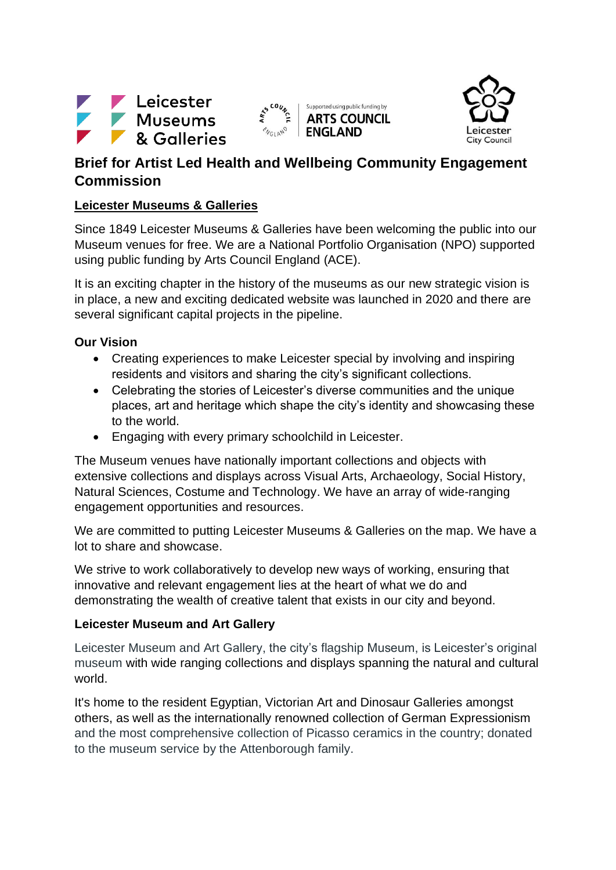





# **Brief for Artist Led Health and Wellbeing Community Engagement Commission**

# **Leicester Museums & Galleries**

Since 1849 Leicester Museums & Galleries have been welcoming the public into our Museum venues for free. We are a National Portfolio Organisation (NPO) supported using public funding by Arts Council England (ACE).

It is an exciting chapter in the history of the museums as our new strategic vision is in place, a new and exciting dedicated website was launched in 2020 and there are several significant capital projects in the pipeline.

# **Our Vision**

- Creating experiences to make Leicester special by involving and inspiring residents and visitors and sharing the city's significant collections.
- Celebrating the stories of Leicester's diverse communities and the unique places, art and heritage which shape the city's identity and showcasing these to the world.
- Engaging with every primary schoolchild in Leicester.

The Museum venues have nationally important collections and objects with extensive collections and displays across Visual Arts, Archaeology, Social History, Natural Sciences, Costume and Technology. We have an array of wide-ranging engagement opportunities and resources.

We are committed to putting Leicester Museums & Galleries on the map. We have a lot to share and showcase.

We strive to work collaboratively to develop new ways of working, ensuring that innovative and relevant engagement lies at the heart of what we do and demonstrating the wealth of creative talent that exists in our city and beyond.

# **Leicester Museum and Art Gallery**

Leicester Museum and Art Gallery, the city's flagship Museum, is Leicester's original museum with wide ranging collections and displays spanning the natural and cultural world.

It's home to the resident Egyptian, Victorian Art and Dinosaur Galleries amongst others, as well as the internationally renowned collection of German Expressionism and the most comprehensive collection of Picasso ceramics in the country; donated to the museum service by the Attenborough family.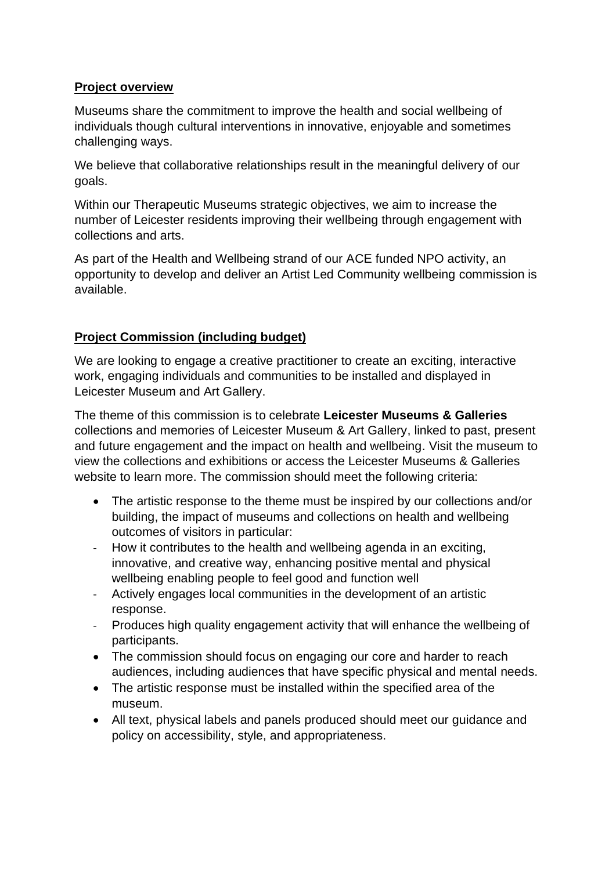# **Project overview**

Museums share the commitment to improve the health and social wellbeing of individuals though cultural interventions in innovative, enjoyable and sometimes challenging ways.

We believe that collaborative relationships result in the meaningful delivery of our goals.

Within our Therapeutic Museums strategic objectives, we aim to increase the number of Leicester residents improving their wellbeing through engagement with collections and arts.

As part of the Health and Wellbeing strand of our ACE funded NPO activity, an opportunity to develop and deliver an Artist Led Community wellbeing commission is available.

# **Project Commission (including budget)**

We are looking to engage a creative practitioner to create an exciting, interactive work, engaging individuals and communities to be installed and displayed in Leicester Museum and Art Gallery.

The theme of this commission is to celebrate **Leicester Museums & Galleries** collections and memories of Leicester Museum & Art Gallery, linked to past, present and future engagement and the impact on health and wellbeing. Visit the museum to view the collections and exhibitions or access the Leicester Museums & Galleries website to learn more. The commission should meet the following criteria:

- The artistic response to the theme must be inspired by our collections and/or building, the impact of museums and collections on health and wellbeing outcomes of visitors in particular:
- How it contributes to the health and wellbeing agenda in an exciting, innovative, and creative way, enhancing positive mental and physical wellbeing enabling people to feel good and function well
- Actively engages local communities in the development of an artistic response.
- Produces high quality engagement activity that will enhance the wellbeing of participants.
- The commission should focus on engaging our core and harder to reach audiences, including audiences that have specific physical and mental needs.
- The artistic response must be installed within the specified area of the museum.
- All text, physical labels and panels produced should meet our guidance and policy on accessibility, style, and appropriateness.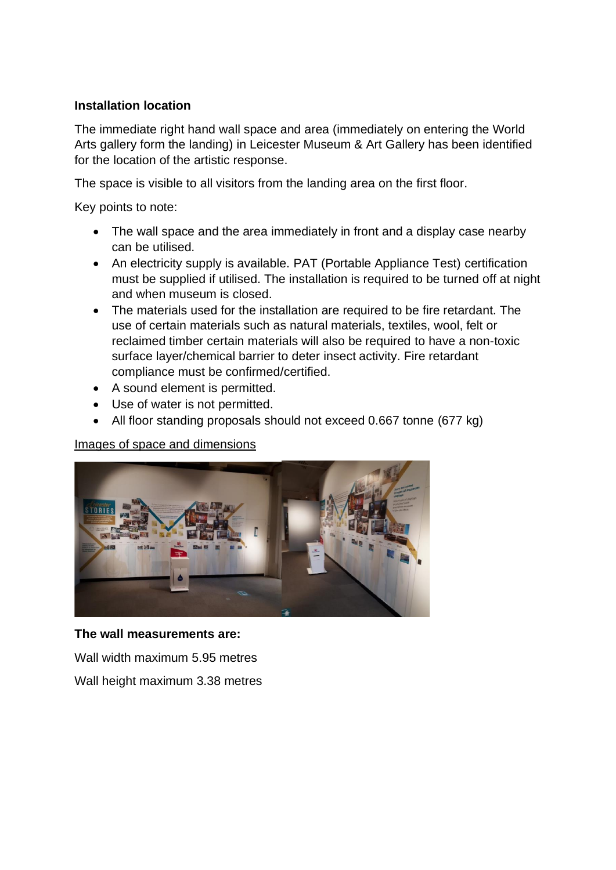#### **Installation location**

The immediate right hand wall space and area (immediately on entering the World Arts gallery form the landing) in Leicester Museum & Art Gallery has been identified for the location of the artistic response.

The space is visible to all visitors from the landing area on the first floor.

Key points to note:

- The wall space and the area immediately in front and a display case nearby can be utilised.
- An electricity supply is available. PAT (Portable Appliance Test) certification must be supplied if utilised. The installation is required to be turned off at night and when museum is closed.
- The materials used for the installation are required to be fire retardant. The use of certain materials such as natural materials, textiles, wool, felt or reclaimed timber certain materials will also be required to have a non-toxic surface layer/chemical barrier to deter insect activity. Fire retardant compliance must be confirmed/certified.
- A sound element is permitted.
- Use of water is not permitted.
- All floor standing proposals should not exceed 0.667 tonne (677 kg)

Images of space and dimensions



# **The wall measurements are:**

Wall width maximum 5.95 metres

Wall height maximum 3.38 metres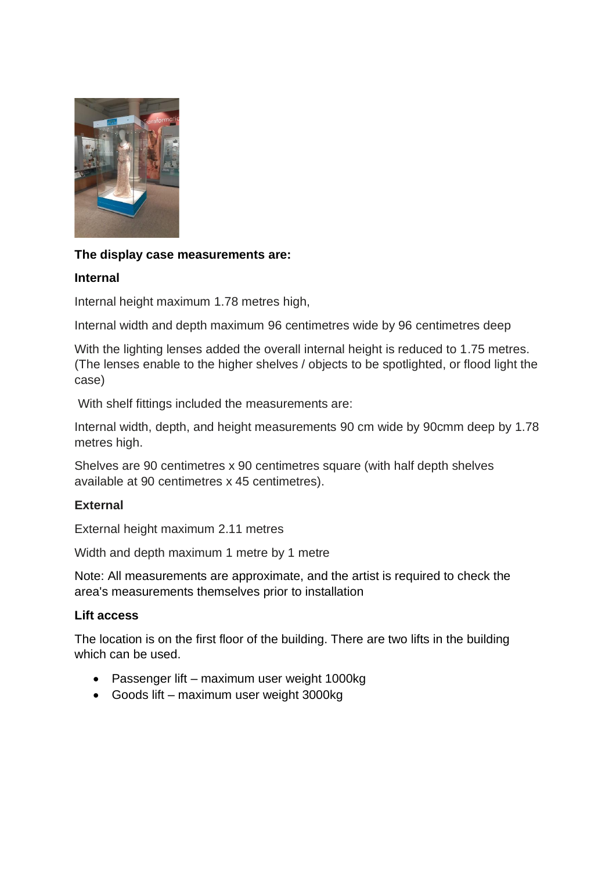

#### **The display case measurements are:**

#### **Internal**

Internal height maximum 1.78 metres high,

Internal width and depth maximum 96 centimetres wide by 96 centimetres deep

With the lighting lenses added the overall internal height is reduced to 1.75 metres. (The lenses enable to the higher shelves / objects to be spotlighted, or flood light the case)

With shelf fittings included the measurements are:

Internal width, depth, and height measurements 90 cm wide by 90cmm deep by 1.78 metres high.

Shelves are 90 centimetres x 90 centimetres square (with half depth shelves available at 90 centimetres x 45 centimetres).

# **External**

External height maximum 2.11 metres

Width and depth maximum 1 metre by 1 metre

Note: All measurements are approximate, and the artist is required to check the area's measurements themselves prior to installation

#### **Lift access**

The location is on the first floor of the building. There are two lifts in the building which can be used.

- Passenger lift maximum user weight 1000kg
- Goods lift maximum user weight 3000kg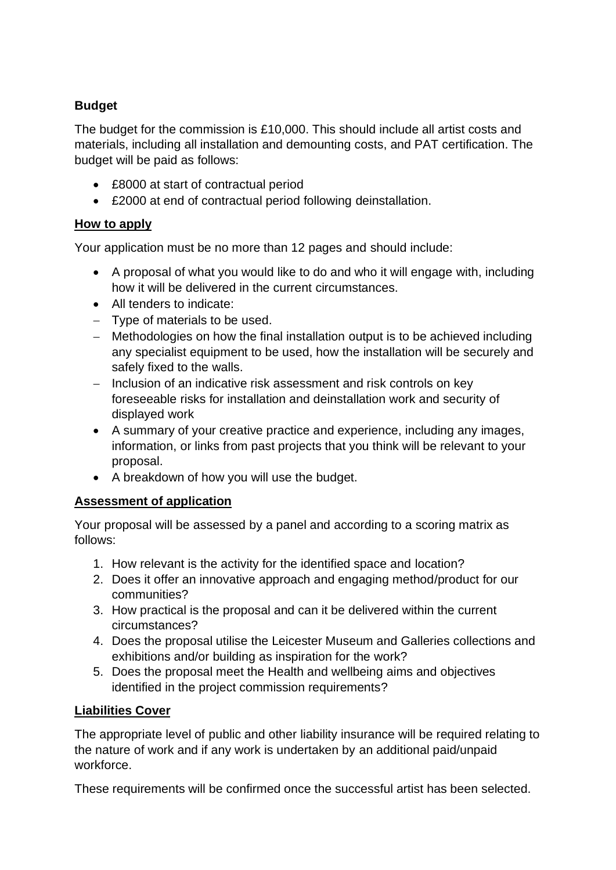# **Budget**

The budget for the commission is £10,000. This should include all artist costs and materials, including all installation and demounting costs, and PAT certification. The budget will be paid as follows:

- £8000 at start of contractual period
- £2000 at end of contractual period following deinstallation.

# **How to apply**

Your application must be no more than 12 pages and should include:

- A proposal of what you would like to do and who it will engage with, including how it will be delivered in the current circumstances.
- All tenders to indicate:
- − Type of materials to be used.
- − Methodologies on how the final installation output is to be achieved including any specialist equipment to be used, how the installation will be securely and safely fixed to the walls.
- − Inclusion of an indicative risk assessment and risk controls on key foreseeable risks for installation and deinstallation work and security of displayed work
- A summary of your creative practice and experience, including any images, information, or links from past projects that you think will be relevant to your proposal.
- A breakdown of how you will use the budget.

# **Assessment of application**

Your proposal will be assessed by a panel and according to a scoring matrix as follows:

- 1. How relevant is the activity for the identified space and location?
- 2. Does it offer an innovative approach and engaging method/product for our communities?
- 3. How practical is the proposal and can it be delivered within the current circumstances?
- 4. Does the proposal utilise the Leicester Museum and Galleries collections and exhibitions and/or building as inspiration for the work?
- 5. Does the proposal meet the Health and wellbeing aims and objectives identified in the project commission requirements?

# **Liabilities Cover**

The appropriate level of public and other liability insurance will be required relating to the nature of work and if any work is undertaken by an additional paid/unpaid workforce.

These requirements will be confirmed once the successful artist has been selected.